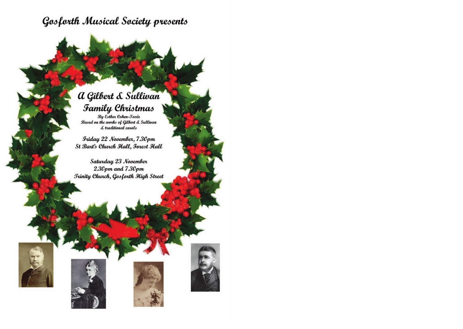## Gosforth Musical Society presents

## a Gilbert & Sullivan **Family Christmas**

By Esther Cohen-Tovée Based on the works of Gilbert & Sullivan & traditional carols

Friday 22 November, 7.30pm St Bart's Church Hall, Forest Hall

Saturday 23 November  $2.30$ pm and  $7.30$ pm **Trinity Church, Gosforth High Street** 







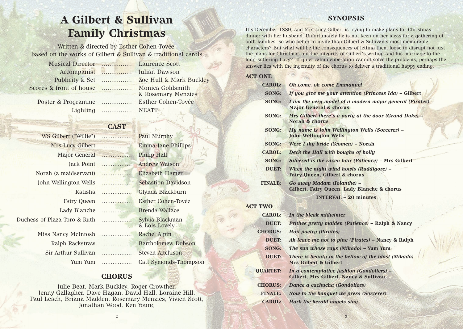# **A Gilbert & Sullivan Family Christmas**

Written & directed by Esther Cohen-Tovée, based on the works of Gilbert & Sullivan & traditional carols

Musical Director ................ Laurence Scott Accompanist ................ Julian Dawson Scores & front of house ................ Monica Goldsmith

Publicity & Set ................ Zoe Hull & Mark Buckley & Rosemary Menzies Poster & Programme ................ Esther Cohen-Tovée

Lighting ................ NEATT

## **CAST**

WS Gilbert ("Willie") ................. Paul Murphy Mrs Lucy Gilbert ................. Emma-Jane Phillips Major General ................. Philip Hall Jack Point ................. Andrew Watson Norah (a maidservant) ................. Elizabeth Hamer John Wellington Wells ................. Sebastion Davidson Lady Blanche ................. Brenda Wallace Duchess of Plaza Toro & Ruth ................. Sylvia Blackman

Katisha ................. Glynda Blackburn Fairy Queen ................. Esther Cohen-Tovée & Lois Lovely Ralph Rackstraw ................. Bartholomew Dobson

Miss Nancy McIntosh ................. Rachel Alpin Sir Arthur Sullivan ................. Steven Aitchison

Yum Yum ................. Catt Symonds-Thompson

### **CHORUS**

Julie Beat, Mark Buckley, Roger Crowther, Jenny Gallagher, Dave Hagan, David Hall, Loraine Hill, Paul Leach, Briana Madden, Rosemary Menzies, Vivien Scott, Jonathan Wood, Ken Young

**SYNOPSIS**

It's December 1889, and Mrs Lucy Gilbert is trying to make plans for Christmas dinner with her husband. Unfortunately he is not keen on her ideas for a gathering of both families, so who better to invite than Gilbert & Sullivan's most memorable characters? But what will be the consequences of letting them loose to disrupt not just the plans for Christmas but the integrity of Gilbert's writing and his marriage to the long-suffering Lucy? If quiet calm deliberation cannot solve the problems, perhaps the answer lies with the ingenuity of the chorus to deliver a traditional happy ending.

### **ACT ONE**

### **SONG:** *If you give me your attention (Princess Ida) –* **Gilbert**

**SONG:** *I am the very model of a modern major general (Pirates) –*

| <b>CAROL:</b>  | <b>Oh come, oh come Emmanuel</b>                                                           |
|----------------|--------------------------------------------------------------------------------------------|
| <b>SONG:</b>   | If you give me your attention (Princess Ida) - Gilbert                                     |
| <b>SONG:</b>   | I am the very model of a modern major general (Pirate<br><b>Major General &amp; chorus</b> |
| <b>SONG:</b>   | Mrs Gilbert there's a party at the door (Grand Duke) –<br><b>Norah &amp; chorus</b>        |
| <b>SONG:</b>   | My name is John Wellington Wells (Sorcerer) –<br>John Wellington Wells                     |
| <b>SONG:</b>   | Were I thy bride (Yeomen) – Norah                                                          |
| <b>CAROL:</b>  | Deck the Hall with boughs of holly                                                         |
| <b>SONG:</b>   | Silvered is the raven hair (Patience) - Mrs Gilbert                                        |
| <b>DUET:</b>   | When the night wind howls (Ruddigore) –<br><b>Fairy Queen, Gilbert &amp; chorus</b>        |
| <b>FINALE:</b> | Go away Madam (Iolanthe) –<br>Gilbert, Fairy Queen, Lady Blanche & chorus                  |
|                | <b>INTERVAL - 20 minutes</b>                                                               |

**ACT TWO**

**CAROL:** *In the bleak midwinter* **DUET:** *Prithee pretty maiden (Patience)* **– Ralph & Nancy CHORUS:** *Hail poetry (Pirates)* **DUET:** *Ah leave me not to pine (Pirates)* **– Nancy & Ralph SONG:** *The sun whose rays (Mikado)* **– Yum Yum DUET:** *There is beauty in the bellow of the blast (Mikado)* **– Mrs Gilbert & Gilbert QUARTET:** *In a contemplative fashion (Gondoliers)* **– Gilbert, Mrs Gilbert, Nancy & Sullivan CHORUS:** *Dance a cachucha (Gondoliers)* **FINALE:** *Now to the banquet we press (Sorcerer)* **CAROL:** *Hark the herald angels sing*